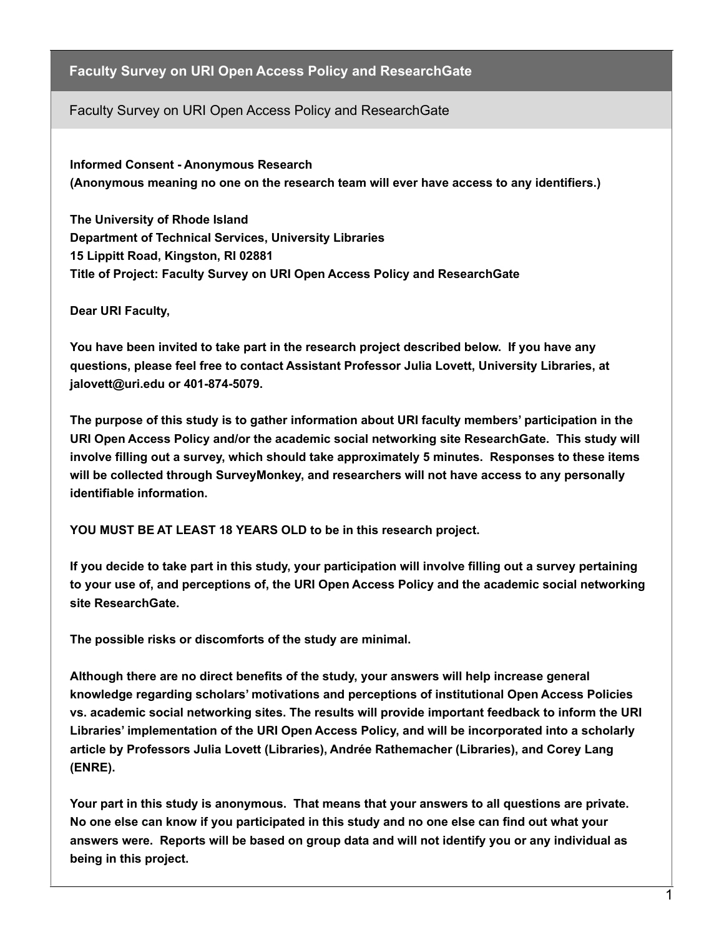## **Faculty Survey on URI Open Access Policy and ResearchGate**

Faculty Survey on URI Open Access Policy and ResearchGate

**Informed Consent - Anonymous Research (Anonymous meaning no one on the research team will ever have access to any identifiers.)**

**The University of Rhode Island Department of Technical Services, University Libraries 15 Lippitt Road, Kingston, RI 02881 Title of Project: Faculty Survey on URI Open Access Policy and ResearchGate**

**Dear URI Faculty,**

**You have been invited to take part in the research project described below. If you have any questions, please feel free to contact Assistant Professor Julia Lovett, University Libraries, at jalovett@uri.edu or 401-874-5079.**

**The purpose of this study is to gather information about URI faculty members' participation in the URI Open Access Policy and/or the academic social networking site ResearchGate. This study will involve filling out a survey, which should take approximately 5 minutes. Responses to these items will be collected through SurveyMonkey, and researchers will not have access to any personally identifiable information.**

**YOU MUST BE AT LEAST 18 YEARS OLD to be in this research project.**

**If you decide to take part in this study, your participation will involve filling out a survey pertaining to your use of, and perceptions of, the URI Open Access Policy and the academic social networking site ResearchGate.**

**The possible risks or discomforts of the study are minimal.**

**Although there are no direct benefits of the study, your answers will help increase general knowledge regarding scholars' motivations and perceptions of institutional Open Access Policies vs. academic social networking sites. The results will provide important feedback to inform the URI Libraries' implementation of the URI Open Access Policy, and will be incorporated into a scholarly article by Professors Julia Lovett (Libraries), Andrée Rathemacher (Libraries), and Corey Lang (ENRE).**

**Your part in this study is anonymous. That means that your answers to all questions are private. No one else can know if you participated in this study and no one else can find out what your answers were. Reports will be based on group data and will not identify you or any individual as being in this project.**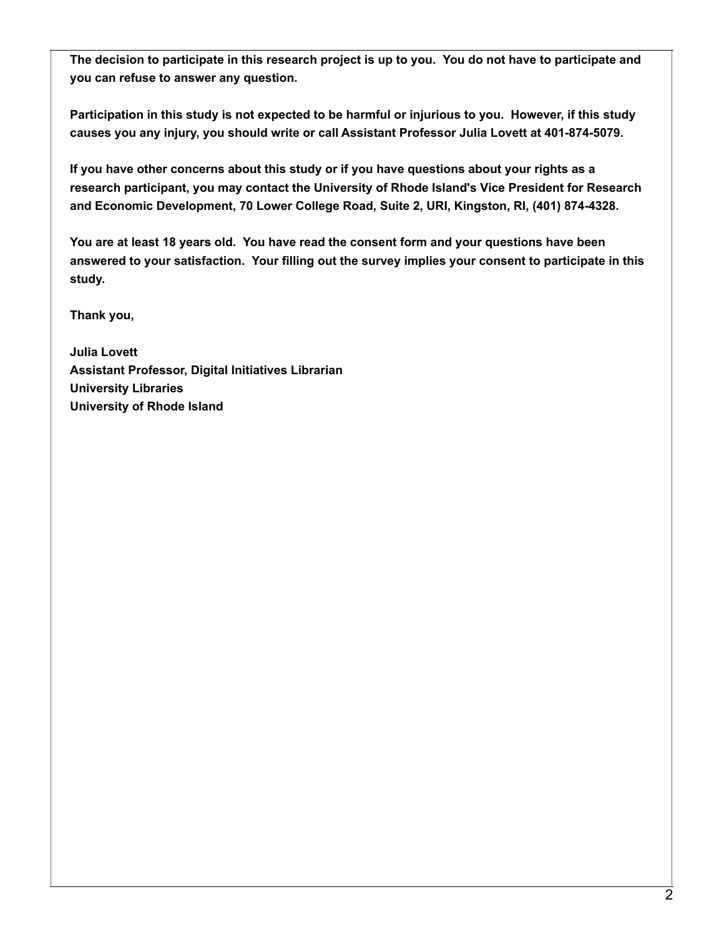**The decision to participate in this research project is up to you. You do not have to participate and you can refuse to answer any question.**

**Participation in this study is not expected to be harmful or injurious to you. However, if this study causes you any injury, you should write or call Assistant Professor Julia Lovett at 401-874-5079.**

**If you have other concerns about this study or if you have questions about your rights as a research participant, you may contact the University of Rhode Island's Vice President for Research and Economic Development, 70 Lower College Road, Suite 2, URI, Kingston, RI, (401) 874-4328.**

**You are at least 18 years old. You have read the consent form and your questions have been answered to your satisfaction. Your filling out the survey implies your consent to participate in this study.**

**Thank you,**

**Julia Lovett Assistant Professor, Digital Initiatives Librarian University Libraries University of Rhode Island**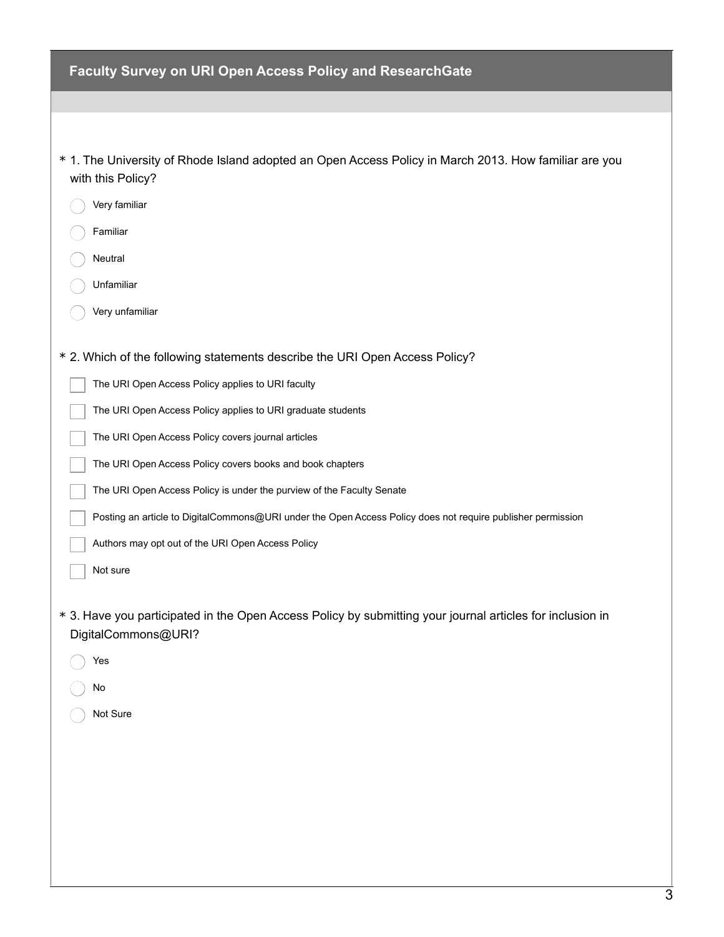| Faculty Survey on URI Open Access Policy and ResearchGate                                                                        |
|----------------------------------------------------------------------------------------------------------------------------------|
|                                                                                                                                  |
|                                                                                                                                  |
| * 1. The University of Rhode Island adopted an Open Access Policy in March 2013. How familiar are you<br>with this Policy?       |
| Very familiar                                                                                                                    |
| Familiar                                                                                                                         |
| Neutral                                                                                                                          |
| Unfamiliar                                                                                                                       |
| Very unfamiliar                                                                                                                  |
| * 2. Which of the following statements describe the URI Open Access Policy?                                                      |
| The URI Open Access Policy applies to URI faculty                                                                                |
| The URI Open Access Policy applies to URI graduate students                                                                      |
| The URI Open Access Policy covers journal articles                                                                               |
| The URI Open Access Policy covers books and book chapters                                                                        |
| The URI Open Access Policy is under the purview of the Faculty Senate                                                            |
| Posting an article to DigitalCommons@URI under the Open Access Policy does not require publisher permission                      |
| Authors may opt out of the URI Open Access Policy                                                                                |
| Not sure                                                                                                                         |
| * 3. Have you participated in the Open Access Policy by submitting your journal articles for inclusion in<br>DigitalCommons@URI? |
| Yes                                                                                                                              |
| No                                                                                                                               |
| Not Sure                                                                                                                         |
|                                                                                                                                  |
|                                                                                                                                  |
|                                                                                                                                  |
|                                                                                                                                  |
|                                                                                                                                  |
|                                                                                                                                  |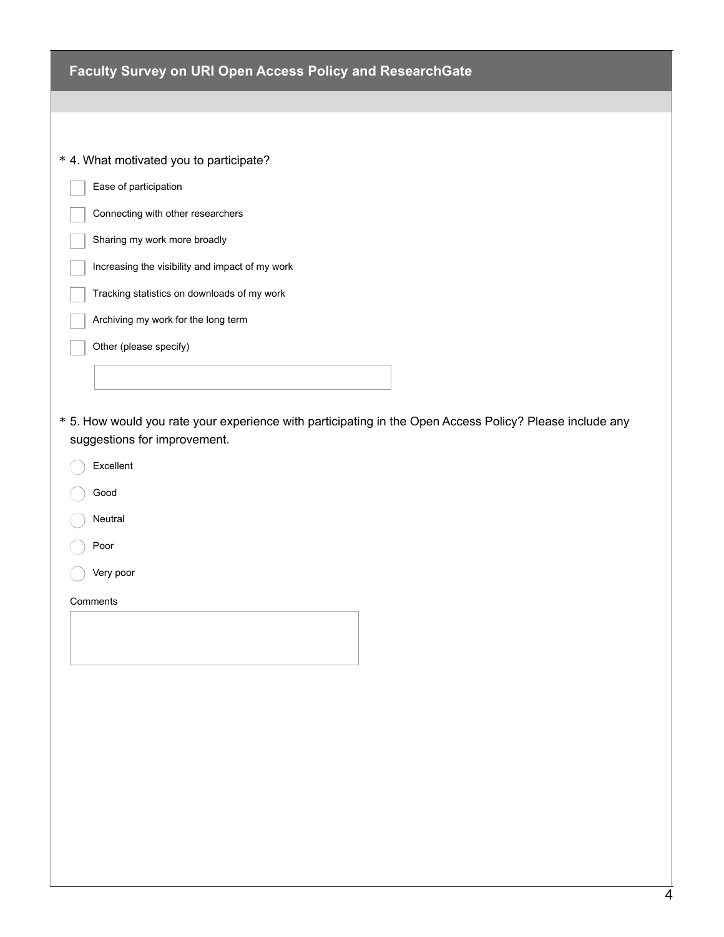| Faculty Survey on URI Open Access Policy and ResearchGate                                                                                |
|------------------------------------------------------------------------------------------------------------------------------------------|
|                                                                                                                                          |
|                                                                                                                                          |
| * 4. What motivated you to participate?                                                                                                  |
| Ease of participation                                                                                                                    |
| Connecting with other researchers                                                                                                        |
| Sharing my work more broadly                                                                                                             |
| Increasing the visibility and impact of my work                                                                                          |
| Tracking statistics on downloads of my work                                                                                              |
| Archiving my work for the long term                                                                                                      |
| Other (please specify)                                                                                                                   |
|                                                                                                                                          |
|                                                                                                                                          |
| * 5. How would you rate your experience with participating in the Open Access Policy? Please include any<br>suggestions for improvement. |
|                                                                                                                                          |
| Excellent                                                                                                                                |
| Good                                                                                                                                     |
| Neutral                                                                                                                                  |
| Poor                                                                                                                                     |
| Very poor                                                                                                                                |
| Comments                                                                                                                                 |
|                                                                                                                                          |
|                                                                                                                                          |
|                                                                                                                                          |
|                                                                                                                                          |
|                                                                                                                                          |
|                                                                                                                                          |
|                                                                                                                                          |
|                                                                                                                                          |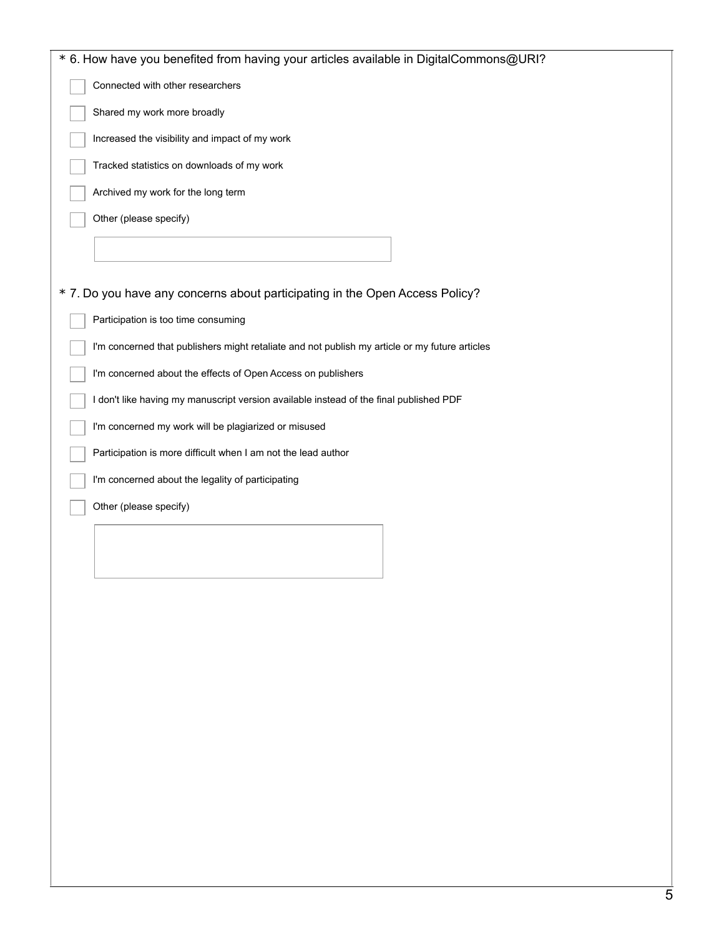| * 6. How have you benefited from having your articles available in DigitalCommons@URI?         |
|------------------------------------------------------------------------------------------------|
| Connected with other researchers                                                               |
| Shared my work more broadly                                                                    |
| Increased the visibility and impact of my work                                                 |
| Tracked statistics on downloads of my work                                                     |
| Archived my work for the long term                                                             |
| Other (please specify)                                                                         |
|                                                                                                |
| * 7. Do you have any concerns about participating in the Open Access Policy?                   |
| Participation is too time consuming                                                            |
| I'm concerned that publishers might retaliate and not publish my article or my future articles |
| I'm concerned about the effects of Open Access on publishers                                   |
| I don't like having my manuscript version available instead of the final published PDF         |
| I'm concerned my work will be plagiarized or misused                                           |
| Participation is more difficult when I am not the lead author                                  |
| I'm concerned about the legality of participating                                              |
| Other (please specify)                                                                         |
|                                                                                                |
|                                                                                                |
|                                                                                                |
|                                                                                                |
|                                                                                                |
|                                                                                                |
|                                                                                                |
|                                                                                                |
|                                                                                                |
|                                                                                                |
|                                                                                                |
|                                                                                                |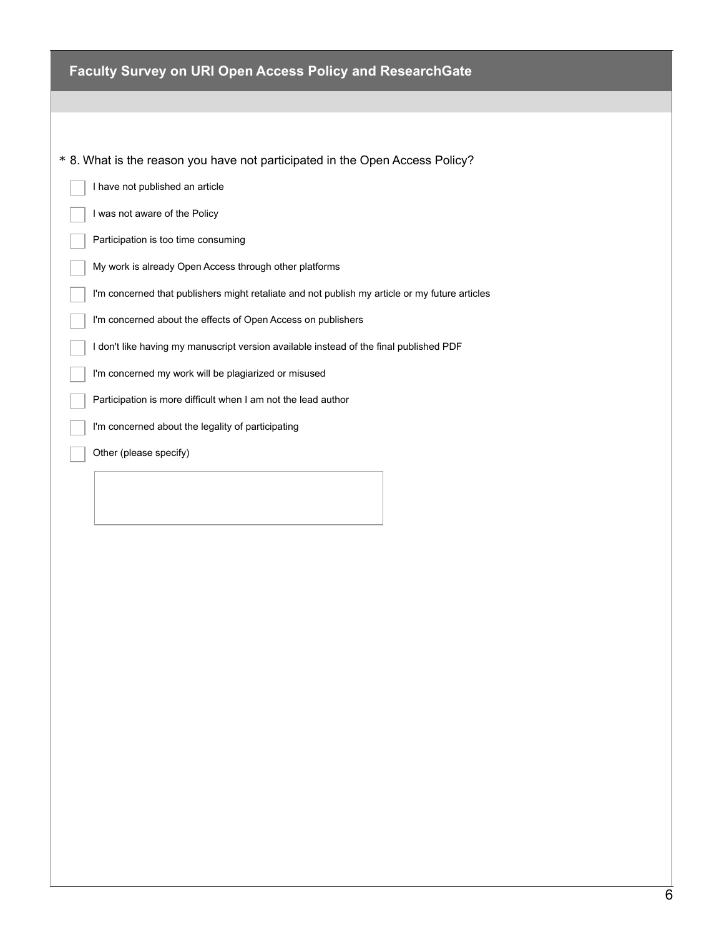| Faculty Survey on URI Open Access Policy and ResearchGate                                      |
|------------------------------------------------------------------------------------------------|
|                                                                                                |
|                                                                                                |
|                                                                                                |
| * 8. What is the reason you have not participated in the Open Access Policy?                   |
| I have not published an article                                                                |
| I was not aware of the Policy                                                                  |
| Participation is too time consuming                                                            |
| My work is already Open Access through other platforms                                         |
| I'm concerned that publishers might retaliate and not publish my article or my future articles |
| I'm concerned about the effects of Open Access on publishers                                   |
| I don't like having my manuscript version available instead of the final published PDF         |
| I'm concerned my work will be plagiarized or misused                                           |
| Participation is more difficult when I am not the lead author                                  |
| I'm concerned about the legality of participating                                              |
| Other (please specify)                                                                         |
|                                                                                                |
|                                                                                                |
|                                                                                                |
|                                                                                                |
|                                                                                                |
|                                                                                                |
|                                                                                                |
|                                                                                                |
|                                                                                                |
|                                                                                                |
|                                                                                                |
|                                                                                                |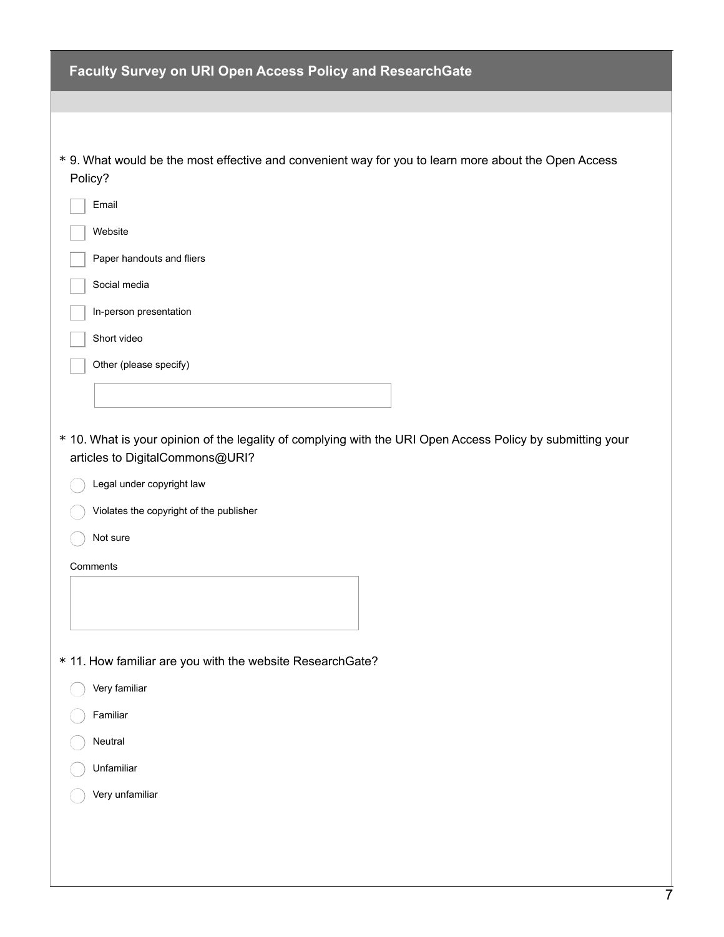| Faculty Survey on URI Open Access Policy and ResearchGate                                                                                                                                                                         |
|-----------------------------------------------------------------------------------------------------------------------------------------------------------------------------------------------------------------------------------|
|                                                                                                                                                                                                                                   |
|                                                                                                                                                                                                                                   |
| * 9. What would be the most effective and convenient way for you to learn more about the Open Access<br>Policy?                                                                                                                   |
| Email                                                                                                                                                                                                                             |
| Website                                                                                                                                                                                                                           |
| Paper handouts and fliers                                                                                                                                                                                                         |
| Social media                                                                                                                                                                                                                      |
| In-person presentation                                                                                                                                                                                                            |
| Short video                                                                                                                                                                                                                       |
| Other (please specify)                                                                                                                                                                                                            |
|                                                                                                                                                                                                                                   |
| * 10. What is your opinion of the legality of complying with the URI Open Access Policy by submitting your<br>articles to DigitalCommons@URI?<br>Legal under copyright law<br>Violates the copyright of the publisher<br>Not sure |
| Comments                                                                                                                                                                                                                          |
|                                                                                                                                                                                                                                   |
| * 11. How familiar are you with the website ResearchGate?                                                                                                                                                                         |
| Very familiar                                                                                                                                                                                                                     |
| Familiar                                                                                                                                                                                                                          |
| Neutral                                                                                                                                                                                                                           |
| Unfamiliar                                                                                                                                                                                                                        |
| Very unfamiliar                                                                                                                                                                                                                   |
|                                                                                                                                                                                                                                   |
|                                                                                                                                                                                                                                   |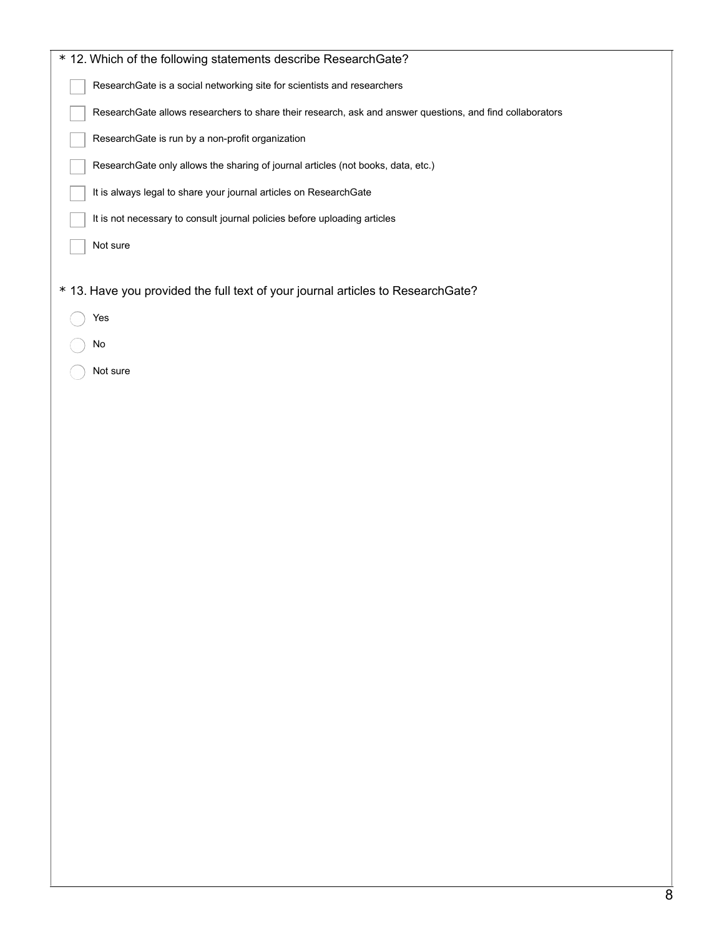| * 12. Which of the following statements describe ResearchGate?                                            |
|-----------------------------------------------------------------------------------------------------------|
| ResearchGate is a social networking site for scientists and researchers                                   |
| ResearchGate allows researchers to share their research, ask and answer questions, and find collaborators |
| ResearchGate is run by a non-profit organization                                                          |
| ResearchGate only allows the sharing of journal articles (not books, data, etc.)                          |
| It is always legal to share your journal articles on ResearchGate                                         |
| It is not necessary to consult journal policies before uploading articles                                 |
| Not sure                                                                                                  |
|                                                                                                           |
| * 13. Have you provided the full text of your journal articles to ResearchGate?                           |
| Yes                                                                                                       |
| No                                                                                                        |
| Not sure                                                                                                  |
|                                                                                                           |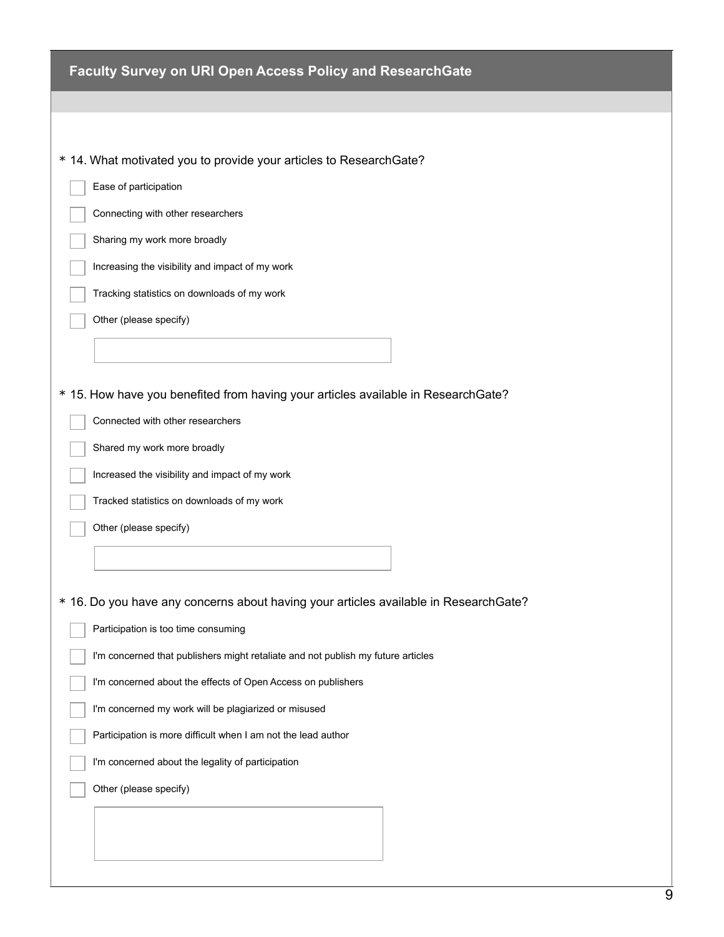| Faculty Survey on URI Open Access Policy and ResearchGate                            |
|--------------------------------------------------------------------------------------|
|                                                                                      |
|                                                                                      |
| * 14. What motivated you to provide your articles to ResearchGate?                   |
| Ease of participation                                                                |
| Connecting with other researchers                                                    |
| Sharing my work more broadly                                                         |
| Increasing the visibility and impact of my work                                      |
| Tracking statistics on downloads of my work                                          |
| Other (please specify)                                                               |
|                                                                                      |
| * 15. How have you benefited from having your articles available in ResearchGate?    |
| Connected with other researchers                                                     |
| Shared my work more broadly                                                          |
| Increased the visibility and impact of my work                                       |
| Tracked statistics on downloads of my work                                           |
| Other (please specify)                                                               |
|                                                                                      |
|                                                                                      |
| * 16. Do you have any concerns about having your articles available in ResearchGate? |
| Participation is too time consuming                                                  |
| I'm concerned that publishers might retaliate and not publish my future articles     |
| I'm concerned about the effects of Open Access on publishers                         |
| I'm concerned my work will be plagiarized or misused                                 |
| Participation is more difficult when I am not the lead author                        |
| I'm concerned about the legality of participation                                    |
| Other (please specify)                                                               |
|                                                                                      |
|                                                                                      |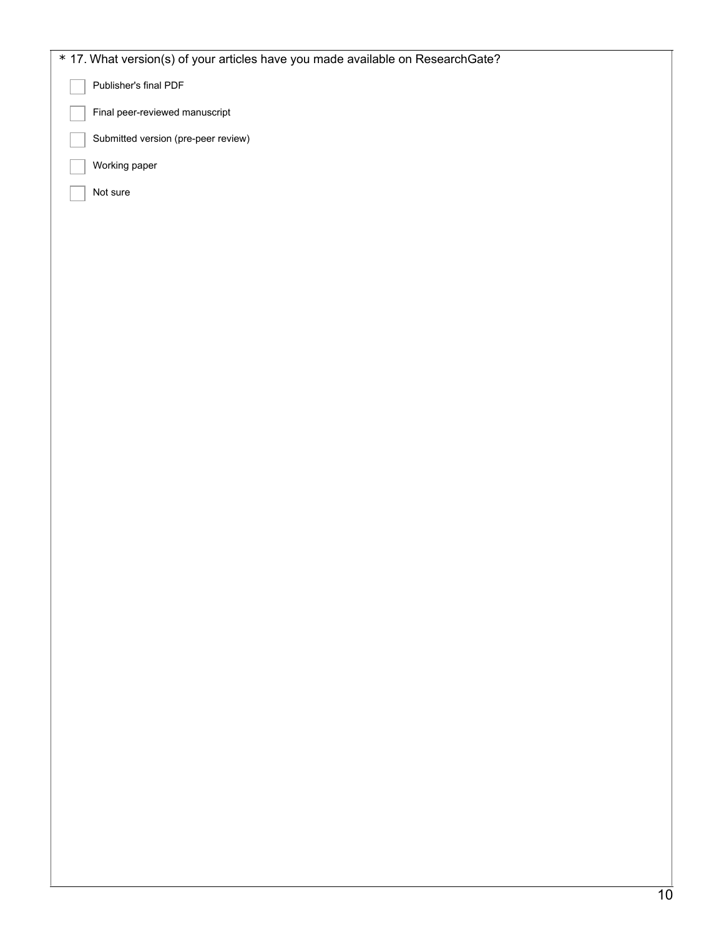| * 17. What version(s) of your articles have you made available on ResearchGate? |
|---------------------------------------------------------------------------------|
| Publisher's final PDF                                                           |
| Final peer-reviewed manuscript                                                  |
| Submitted version (pre-peer review)                                             |
| Working paper                                                                   |
| Not sure                                                                        |
|                                                                                 |
|                                                                                 |
|                                                                                 |
|                                                                                 |
|                                                                                 |
|                                                                                 |
|                                                                                 |
|                                                                                 |
|                                                                                 |
|                                                                                 |
|                                                                                 |
|                                                                                 |
|                                                                                 |
|                                                                                 |
|                                                                                 |
|                                                                                 |
|                                                                                 |
|                                                                                 |
|                                                                                 |
|                                                                                 |
|                                                                                 |
|                                                                                 |
|                                                                                 |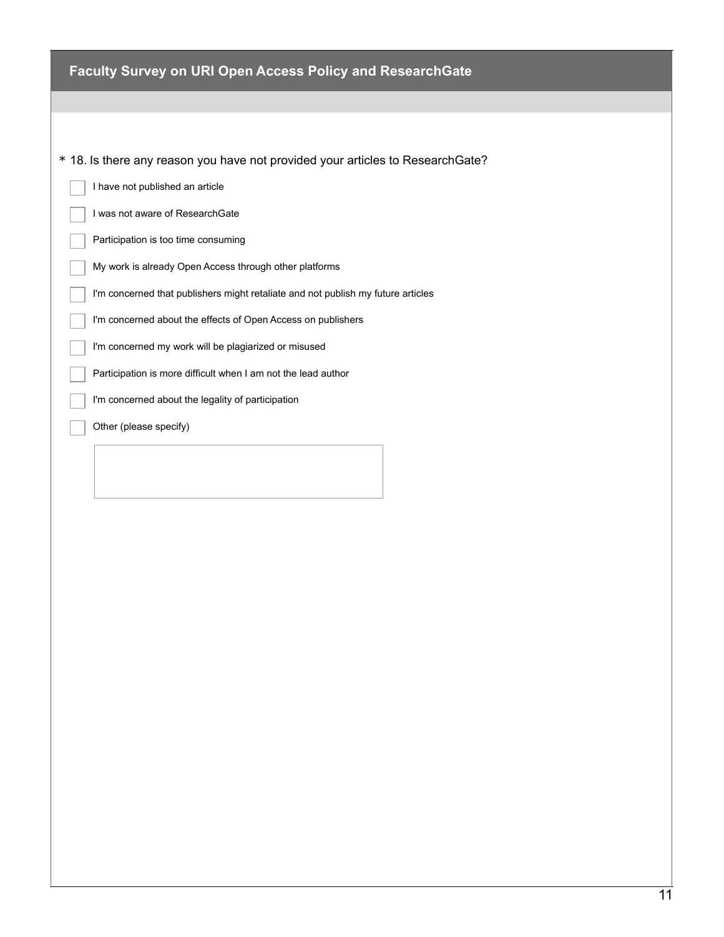| <b>Faculty Survey on URI Open Access Policy and ResearchGate</b>                 |
|----------------------------------------------------------------------------------|
|                                                                                  |
|                                                                                  |
| * 18. Is there any reason you have not provided your articles to ResearchGate?   |
| I have not published an article                                                  |
| I was not aware of ResearchGate                                                  |
| Participation is too time consuming                                              |
| My work is already Open Access through other platforms                           |
| I'm concerned that publishers might retaliate and not publish my future articles |
| I'm concerned about the effects of Open Access on publishers                     |
| I'm concerned my work will be plagiarized or misused                             |
| Participation is more difficult when I am not the lead author                    |
| I'm concerned about the legality of participation                                |
| Other (please specify)                                                           |
|                                                                                  |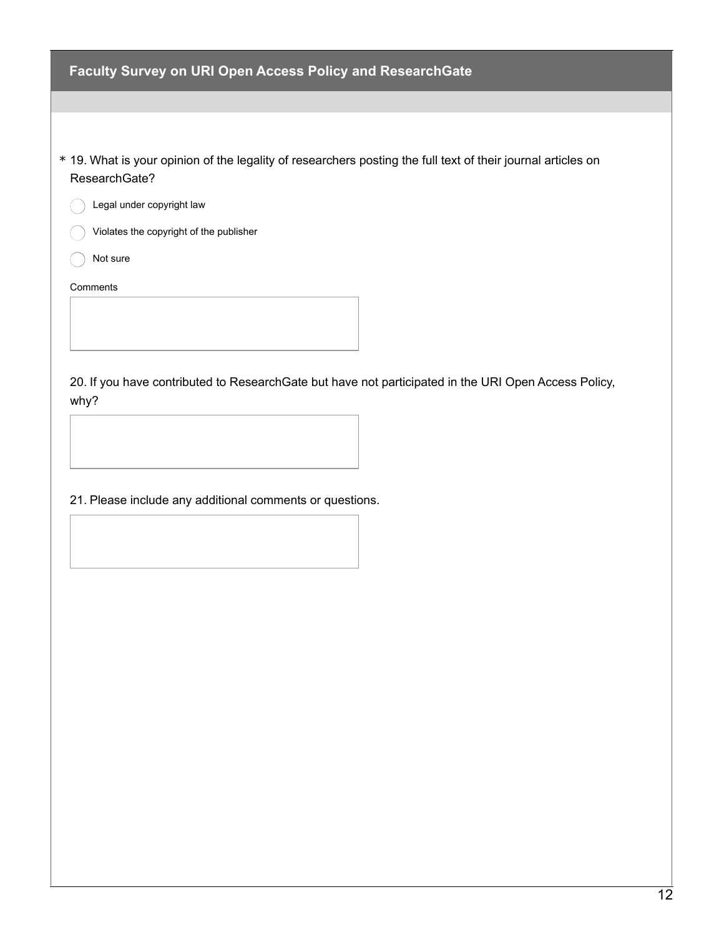| <b>Faculty Survey on URI Open Access Policy and ResearchGate</b>                                                              |
|-------------------------------------------------------------------------------------------------------------------------------|
|                                                                                                                               |
|                                                                                                                               |
| * 19. What is your opinion of the legality of researchers posting the full text of their journal articles on<br>ResearchGate? |
| Legal under copyright law                                                                                                     |
| Violates the copyright of the publisher                                                                                       |
| Not sure                                                                                                                      |
| Comments                                                                                                                      |
|                                                                                                                               |
| 20. If you have contributed to Research Gate but have not participated in the URI Open Access Policy,<br>why?                 |

21. Please include any additional comments or questions.